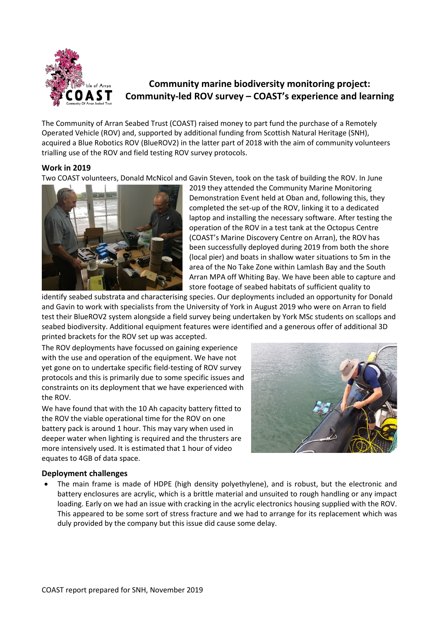

# **Community marine biodiversity monitoring project: Community-led ROV survey – COAST's experience and learning**

The Community of Arran Seabed Trust (COAST) raised money to part fund the purchase of a Remotely Operated Vehicle (ROV) and, supported by additional funding from Scottish Natural Heritage (SNH), acquired a Blue Robotics ROV (BlueROV2) in the latter part of 2018 with the aim of community volunteers trialling use of the ROV and field testing ROV survey protocols.

# **Work in 2019**

Two COAST volunteers, Donald McNicol and Gavin Steven, took on the task of building the ROV. In June



2019 they attended the Community Marine Monitoring Demonstration Event held at Oban and, following this, they completed the set-up of the ROV, linking it to a dedicated laptop and installing the necessary software. After testing the operation of the ROV in a test tank at the Octopus Centre (COAST's Marine Discovery Centre on Arran), the ROV has been successfully deployed during 2019 from both the shore (local pier) and boats in shallow water situations to 5m in the area of the No Take Zone within Lamlash Bay and the South Arran MPA off Whiting Bay. We have been able to capture and store footage of seabed habitats of sufficient quality to

identify seabed substrata and characterising species. Our deployments included an opportunity for Donald and Gavin to work with specialists from the University of York in August 2019 who were on Arran to field test their BlueROV2 system alongside a field survey being undertaken by York MSc students on scallops and seabed biodiversity. Additional equipment features were identified and a generous offer of additional 3D printed brackets for the ROV set up was accepted.

The ROV deployments have focussed on gaining experience with the use and operation of the equipment. We have not yet gone on to undertake specific field-testing of ROV survey protocols and this is primarily due to some specific issues and constraints on its deployment that we have experienced with the ROV.

We have found that with the 10 Ah capacity battery fitted to the ROV the viable operational time for the ROV on one battery pack is around 1 hour. This may vary when used in deeper water when lighting is required and the thrusters are more intensively used. It is estimated that 1 hour of video equates to 4GB of data space.



## **Deployment challenges**

• The main frame is made of HDPE (high density polyethylene), and is robust, but the electronic and battery enclosures are acrylic, which is a brittle material and unsuited to rough handling or any impact loading. Early on we had an issue with cracking in the acrylic electronics housing supplied with the ROV. This appeared to be some sort of stress fracture and we had to arrange for its replacement which was duly provided by the company but this issue did cause some delay.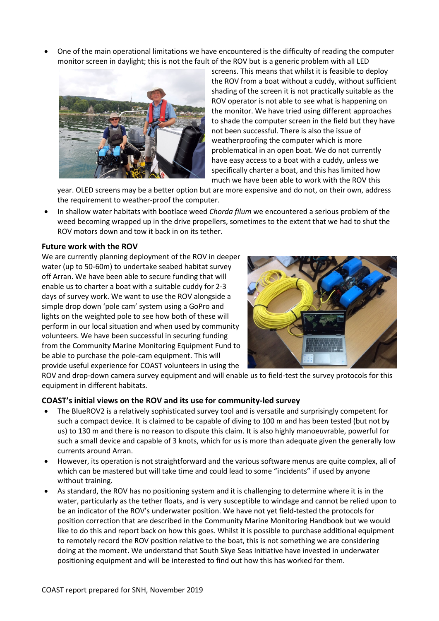• One of the main operational limitations we have encountered is the difficulty of reading the computer monitor screen in daylight; this is not the fault of the ROV but is a generic problem with all LED



screens. This means that whilst it is feasible to deploy the ROV from a boat without a cuddy, without sufficient shading of the screen it is not practically suitable as the ROV operator is not able to see what is happening on the monitor. We have tried using different approaches to shade the computer screen in the field but they have not been successful. There is also the issue of weatherproofing the computer which is more problematical in an open boat. We do not currently have easy access to a boat with a cuddy, unless we specifically charter a boat, and this has limited how much we have been able to work with the ROV this

year. OLED screens may be a better option but are more expensive and do not, on their own, address the requirement to weather-proof the computer.

• In shallow water habitats with bootlace weed *Chorda filum* we encountered a serious problem of the weed becoming wrapped up in the drive propellers, sometimes to the extent that we had to shut the ROV motors down and tow it back in on its tether.

### **Future work with the ROV**

We are currently planning deployment of the ROV in deeper water (up to 50-60m) to undertake seabed habitat survey off Arran. We have been able to secure funding that will enable us to charter a boat with a suitable cuddy for 2-3 days of survey work. We want to use the ROV alongside a simple drop down 'pole cam' system using a GoPro and lights on the weighted pole to see how both of these will perform in our local situation and when used by community volunteers. We have been successful in securing funding from the Community Marine Monitoring Equipment Fund to be able to purchase the pole-cam equipment. This will provide useful experience for COAST volunteers in using the



ROV and drop-down camera survey equipment and will enable us to field-test the survey protocols for this equipment in different habitats.

#### **COAST's initial views on the ROV and its use for community-led survey**

- The BlueROV2 is a relatively sophisticated survey tool and is versatile and surprisingly competent for such a compact device. It is claimed to be capable of diving to 100 m and has been tested (but not by us) to 130 m and there is no reason to dispute this claim. It is also highly manoeuvrable, powerful for such a small device and capable of 3 knots, which for us is more than adequate given the generally low currents around Arran.
- However, its operation is not straightforward and the various software menus are quite complex, all of which can be mastered but will take time and could lead to some "incidents" if used by anyone without training.
- As standard, the ROV has no positioning system and it is challenging to determine where it is in the water, particularly as the tether floats, and is very susceptible to windage and cannot be relied upon to be an indicator of the ROV's underwater position. We have not yet field-tested the protocols for position correction that are described in the Community Marine Monitoring Handbook but we would like to do this and report back on how this goes. Whilst it is possible to purchase additional equipment to remotely record the ROV position relative to the boat, this is not something we are considering doing at the moment. We understand that South Skye Seas Initiative have invested in underwater positioning equipment and will be interested to find out how this has worked for them.